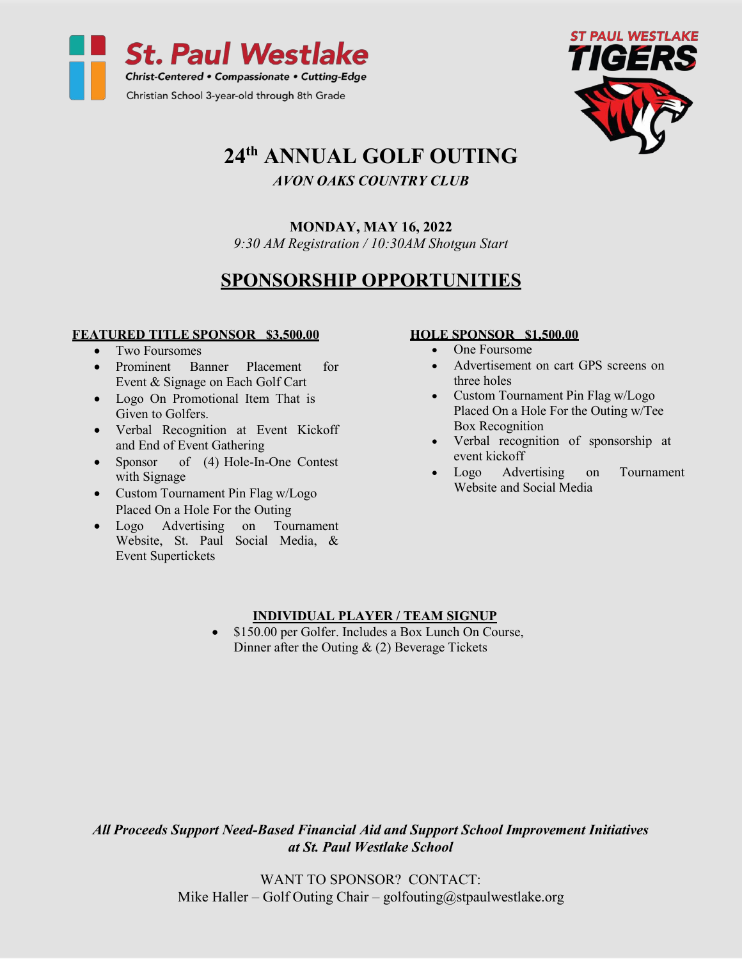



# **24th ANNUAL GOLF OUTING**

### *AVON OAKS COUNTRY CLUB*

### **MONDAY, MAY 16, 2022**

*9:30 AM Registration / 10:30AM Shotgun Start*

## **SPONSORSHIP OPPORTUNITIES**

#### **FEATURED TITLE SPONSOR \$3,500.00**

- Two Foursomes
- Prominent Banner Placement for Event & Signage on Each Golf Cart
- Logo On Promotional Item That is Given to Golfers.
- Verbal Recognition at Event Kickoff and End of Event Gathering
- Sponsor of (4) Hole-In-One Contest with Signage
- Custom Tournament Pin Flag w/Logo Placed On a Hole For the Outing
- Logo Advertising on Tournament Website, St. Paul Social Media, & Event Supertickets

### **HOLE SPONSOR \$1,500.00**

- One Foursome
- Advertisement on cart GPS screens on three holes
- Custom Tournament Pin Flag w/Logo Placed On a Hole For the Outing w/Tee Box Recognition
- Verbal recognition of sponsorship at event kickoff
- Logo Advertising on Tournament Website and Social Media

### **INDIVIDUAL PLAYER / TEAM SIGNUP**

• \$150.00 per Golfer. Includes a Box Lunch On Course, Dinner after the Outing & (2) Beverage Tickets

*All Proceeds Support Need-Based Financial Aid and Support School Improvement Initiatives at St. Paul Westlake School*

> WANT TO SPONSOR? CONTACT: Mike Haller – Golf Outing Chair – [golfouting@stpaulwestlake.org](mailto:golfouting@stpaulwestlake.org)